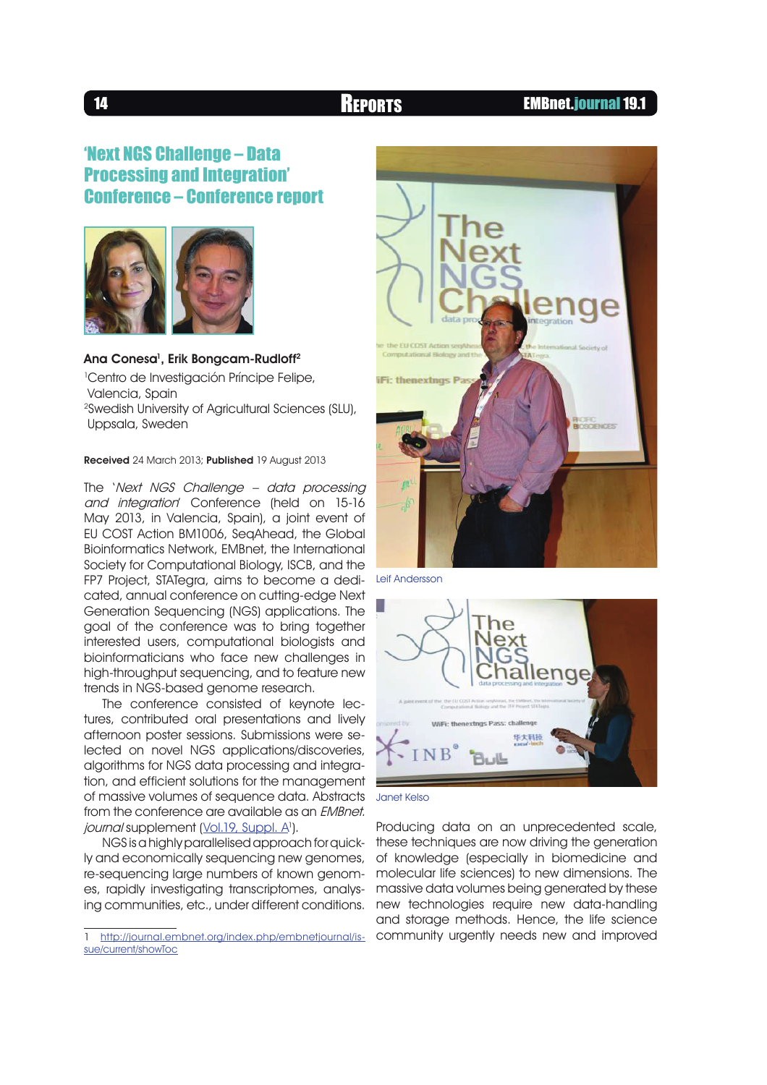### 14 **REPORTS** EMBnet.journal 19.1

# **'Next NGS Challenge - Data Processing and Integration'** Conference - Conference report



Ana Conesa<sup>1</sup>, Erik Bongcam-Rudloff<sup>2</sup> <sup>1</sup>Centro de Investigación Príncipe Felipe, Valencia, Spain <sup>2</sup>Swedish University of Agricultural Sciences (SLU),

Uppsala, Sweden

Received 24 March 2013; Published 19 August 2013

The 'Next NGS Challenge – data processing and integration' Conference (held on 15-16 May 2013, in Valencia, Spain), a joint event of EU COST Action BM1006, SeqAhead, the Global Bioinformatics Network, EMBnet, the International Society for Computational Biology, ISCB, and the FP7 Project, STATegra, aims to become a dedicated, annual conference on cutting-edge Next Generation Sequencing (NGS) applications. The goal of the conference was to bring together interested users, computational biologists and bioinformaticians who face new challenges in high-throughput sequencing, and to feature new trends in NGS-based genome research.

The conference consisted of keynote lectures, contributed oral presentations and lively afternoon poster sessions. Submissions were selected on novel NGS applications/discoveries, algorithms for NGS data processing and integration, and efficient solutions for the management of massive volumes of sequence data. Abstracts from the conference are available as an EMBnet. *journal* supplement (<u>Vol.19, Suppl. A</u>').

NGS is a highly parallelised approach for quickly and economically sequencing new genomes, re-sequencing large numbers of known genomes, rapidly investigating transcriptomes, analysing communities, etc., under different conditions.



Leif Andersson



Janet Kelso

Producing data on an unprecedented scale, these techniques are now driving the generation of knowledge (especially in biomedicine and molecular life sciences) to new dimensions. The massive data volumes being generated by these new technologies require new data-handling and storage methods. Hence, the life science community urgently needs new and improved

http://journal.embnet.org/index.php/embnetjournal/issue/current/showToc